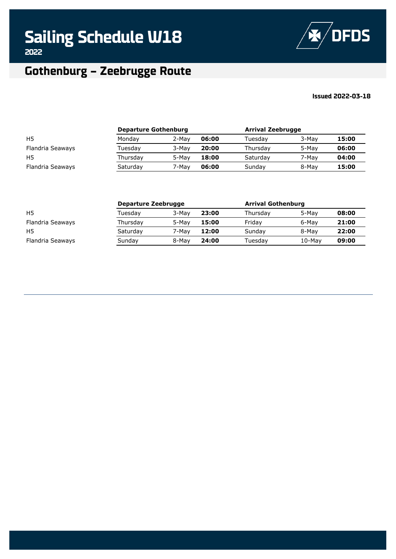

#### **Issued 2022-03-18**

|                  | <b>Departure Gothenburg</b> |       |       | <b>Arrival Zeebrugge</b> |       |       |
|------------------|-----------------------------|-------|-------|--------------------------|-------|-------|
| H <sub>5</sub>   | Monday                      | 2-Mav | 06:00 | Tuesdav                  | 3-May | 15:00 |
| Flandria Seaways | Tuesdav                     | 3-May | 20:00 | Thursdav                 | 5-May | 06:00 |
| H <sub>5</sub>   | Thursday                    | 5-May | 18:00 | Saturday                 | 7-May | 04:00 |
| Flandria Seaways | Saturday                    | 7-May | 06:00 | Sunday                   | 8-May | 15:00 |

|                  | Departure Zeebrugge |       | <b>Arrival Gothenburg</b> |          |          |       |
|------------------|---------------------|-------|---------------------------|----------|----------|-------|
| H <sub>5</sub>   | Tuesday             | 3-Mav | 23:00                     | Thursdav | 5-May    | 08:00 |
| Flandria Seaways | Thursday            | 5-Mav | 15:00                     | Fridav   | 6-May    | 21:00 |
| H <sub>5</sub>   | Saturday            | 7-Mav | 12:00                     | Sundav   | 8-May    | 22:00 |
| Flandria Seaways | Sunday              | 8-May | 24:00                     | Tuesdav  | $10-Mav$ | 09:00 |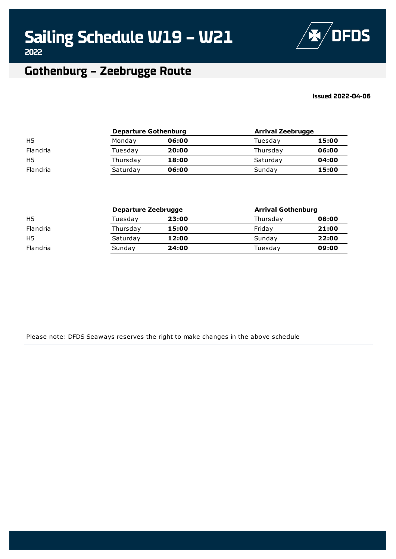

### **Gothenburg – Zeebrugge Route**

### **Issued 2022-04-06**

|                | <b>Departure Gothenburg</b> |       | <b>Arrival Zeebrugge</b> |       |
|----------------|-----------------------------|-------|--------------------------|-------|
| H <sub>5</sub> | Monday                      | 06:00 | Tuesday                  | 15:00 |
| Flandria       | Tuesday                     | 20:00 | Thursday                 | 06:00 |
| H <sub>5</sub> | Thursday                    | 18:00 | Saturday                 | 04:00 |
| Flandria       | Saturday                    | 06:00 | Sunday                   | 15:00 |

|                | Departure Zeebrugge |       | <b>Arrival Gothenburg</b> |       |  |
|----------------|---------------------|-------|---------------------------|-------|--|
| H <sub>5</sub> | Tuesdav             | 23:00 | Thursday                  | 08:00 |  |
| Flandria       | Thursday            | 15:00 | Fridav                    | 21:00 |  |
| H <sub>5</sub> | Saturday            | 12:00 | Sunday                    | 22:00 |  |
| Flandria       | Sunday              | 24:00 | Tuesdav                   | 09:00 |  |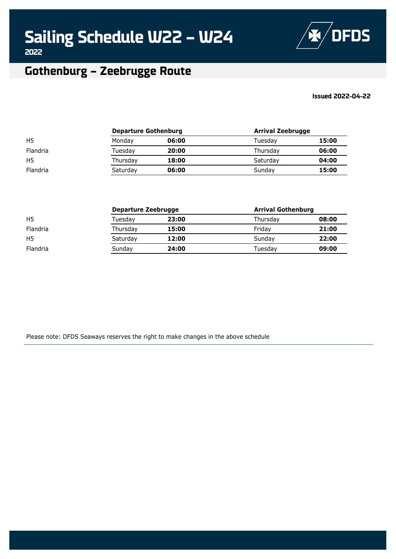

### **Gothenburg – Zeebrugge Route**

### **Issued 2022-04-22**

|                | <b>Departure Gothenburg</b> |       | <b>Arrival Zeebrugge</b> |       |  |
|----------------|-----------------------------|-------|--------------------------|-------|--|
| H <sub>5</sub> | Monday                      | 06:00 | Tuesdav                  | 15:00 |  |
| Flandria       | Tuesdav                     | 20:00 | Thursday                 | 06:00 |  |
| H <sub>5</sub> | Thursday                    | 18:00 | Saturday                 | 04:00 |  |
| Flandria       | Saturday                    | 06:00 | Sundav                   | 15:00 |  |

|                 | <b>Departure Zeebrugge</b> |       | <b>Arrival Gothenburg</b> |       |
|-----------------|----------------------------|-------|---------------------------|-------|
| H <sub>5</sub>  | Tuesday                    | 23:00 | Thursday                  | 08:00 |
| <b>Flandria</b> | Thursday                   | 15:00 | Fridav                    | 21:00 |
| H <sub>5</sub>  | Saturday                   | 12:00 | Sundav                    | 22:00 |
| Flandria        | Sunday                     | 24:00 | Tuesdav                   | 09:00 |
|                 |                            |       |                           |       |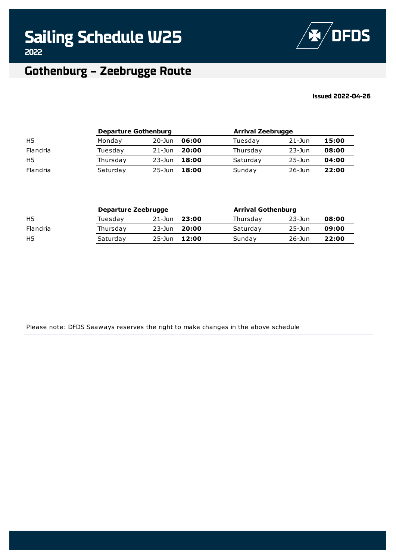**Sailing Schedule W25**



**2022**

### **Gothenburg – Zeebrugge Route**

### **Issued 2022-04-26**

|                | <b>Departure Gothenburg</b> |            |       | <b>Arrival Zeebrugge</b> |            |       |
|----------------|-----------------------------|------------|-------|--------------------------|------------|-------|
| H <sub>5</sub> | Monday                      | $20 - Jun$ | 06:00 | Tuesday                  | $21 - Jun$ | 15:00 |
| Flandria       | Tuesdav                     | $21 - Jun$ | 20:00 | Thursday                 | $23 - Jun$ | 08:00 |
| H <sub>5</sub> | Thursday                    | $23 - Jun$ | 18:00 | Saturday                 | $25 - Jun$ | 04:00 |
| Flandria       | Saturday                    | $25 - Jun$ | 18:00 | Sunday                   | $26$ -Jun  | 22:00 |

|                | Departure Zeebrugge |            |       | <b>Arrival Gothenburg</b> |            |       |
|----------------|---------------------|------------|-------|---------------------------|------------|-------|
| H5             | Tuesdav             | $21 - Jun$ | 23:00 | Thursday                  | $23 - Jun$ | 08:00 |
| Flandria       | Thursday            | $23 - Jun$ | 20:00 | Saturday                  | $25 - Jun$ | 09:00 |
| H <sub>5</sub> | Saturday            | 25-Jun     | 12:00 | Sunday                    | $26$ -Jun  | 22:00 |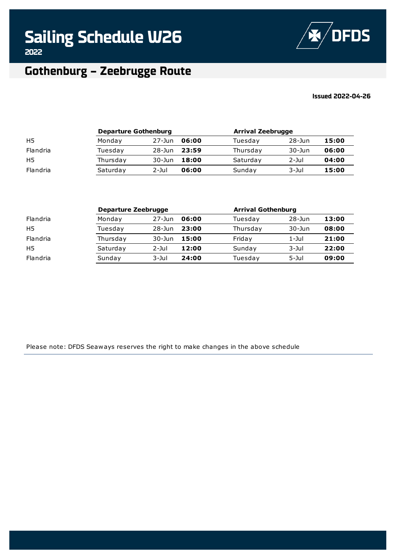**Sailing Schedule W26**



**2022**

### **Gothenburg – Zeebrugge Route**

#### **Issued 2022-04-26**

|                | <b>Departure Gothenburg</b> |            |       | <b>Arrival Zeebrugge</b> |            |       |
|----------------|-----------------------------|------------|-------|--------------------------|------------|-------|
| H <sub>5</sub> | Monday                      | $27 - Jun$ | 06:00 | Tuesday                  | $28 - Jun$ | 15:00 |
| Flandria       | Tuesdav                     | $28 - Jun$ | 23:59 | Thursday                 | $30 - Jun$ | 06:00 |
| H <sub>5</sub> | Thursday                    | $30 - Jun$ | 18:00 | Saturday                 | 2-Jul      | 04:00 |
| Flandria       | Saturday                    | $2$ -Jul   | 06:00 | Sunday                   | 3-Jul      | 15:00 |

|                | Departure Zeebrugge |            |       | <b>Arrival Gothenburg</b> |            |       |
|----------------|---------------------|------------|-------|---------------------------|------------|-------|
| Flandria       | Monday              | $27 - Jun$ | 06:00 | Tuesday                   | $28 - Jun$ | 13:00 |
| H <sub>5</sub> | Tuesday             | $28 - Jun$ | 23:00 | Thursday                  | $30 - Jun$ | 08:00 |
| Flandria       | Thursday            | $30 - Jun$ | 15:00 | Friday                    | $1 -$ Jul  | 21:00 |
| H5             | Saturday            | $2 -$ Jul  | 12:00 | Sunday                    | $3 - J$ ul | 22:00 |
| Flandria       | Sunday              | $3 - J$ ul | 24:00 | Tuesday                   | $5 -$ Jul  | 09:00 |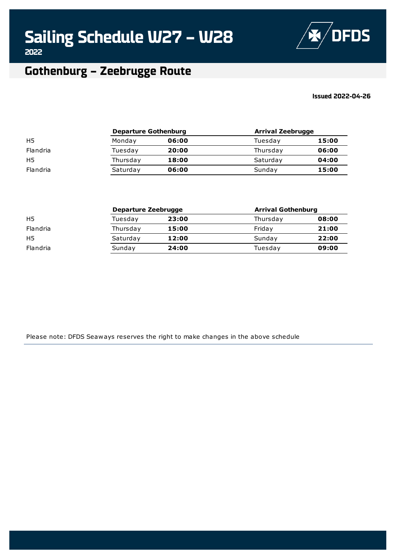

### **Gothenburg – Zeebrugge Route**

### **Issued 2022-04-26**

|                | <b>Departure Gothenburg</b> |       | <b>Arrival Zeebrugge</b> |       |
|----------------|-----------------------------|-------|--------------------------|-------|
| H <sub>5</sub> | Monday                      | 06:00 | Tuesday                  | 15:00 |
| Flandria       | Tuesday                     | 20:00 | Thursday                 | 06:00 |
| H <sub>5</sub> | Thursday                    | 18:00 | Saturday                 | 04:00 |
| Flandria       | Saturday                    | 06:00 | Sunday                   | 15:00 |

|                | Departure Zeebrugge |       | <b>Arrival Gothenburg</b> |       |  |
|----------------|---------------------|-------|---------------------------|-------|--|
| H <sub>5</sub> | Tuesdav             | 23:00 | Thursday                  | 08:00 |  |
| Flandria       | Thursday            | 15:00 | Fridav                    | 21:00 |  |
| H <sub>5</sub> | Saturday            | 12:00 | Sunday                    | 22:00 |  |
| Flandria       | Sunday              | 24:00 | Tuesdav                   | 09:00 |  |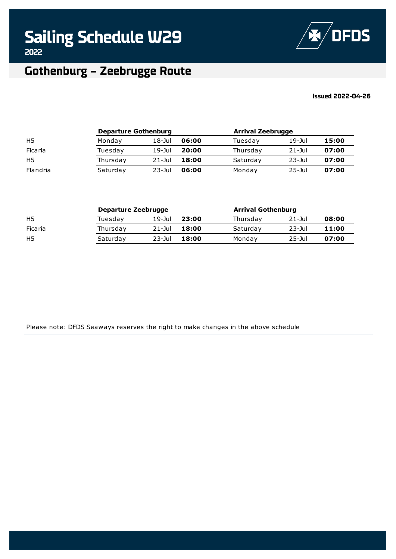

### **Gothenburg – Zeebrugge Route**

### **Issued 2022-04-26**

|          | <b>Departure Gothenburg</b> |            |       | <b>Arrival Zeebrugge</b> |            |       |
|----------|-----------------------------|------------|-------|--------------------------|------------|-------|
| H5       | Monday                      | $18 -$ Jul | 06:00 | Tuesday                  | $19$ -Jul  | 15:00 |
| Ficaria  | Tuesday                     | $19$ -Jul  | 20:00 | Thursday                 | $21 -$ Jul | 07:00 |
| H5       | Thursday                    | $21 -$ Jul | 18:00 | Saturday                 | $23 -$ Jul | 07:00 |
| Flandria | Saturday                    | $23 -$ Jul | 06:00 | Monday                   | $25 -$ Jul | 07:00 |

|                | Departure Zeebrugge |             |       | <b>Arrival Gothenburg</b> |            |       |
|----------------|---------------------|-------------|-------|---------------------------|------------|-------|
| H <sub>5</sub> | Tuesdav             | $19$ -Jul   | 23:00 | Thursday                  | $21 -$ Jul | 08:00 |
| Ficaria        | Thursday            | $21 -$ Jul  | 18:00 | Saturday                  | $23$ -Jul  | 11:00 |
| H <sub>5</sub> | Saturday            | $23 - J$ ul | 18:00 | Mondav                    | $25 -$ Jul | 07:00 |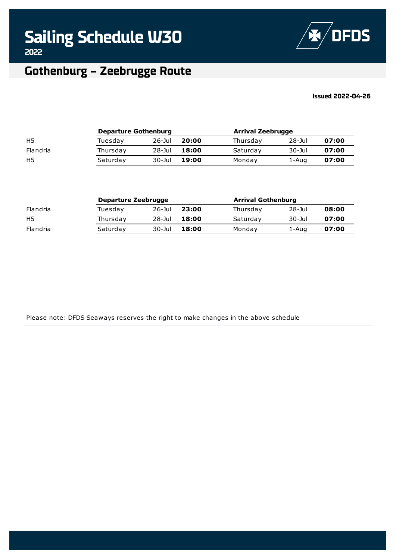

#### **Issued 2022-04-26**

|                | <b>Departure Gothenburg</b> |            |       |          | <b>Arrival Zeebrugge</b> |       |  |
|----------------|-----------------------------|------------|-------|----------|--------------------------|-------|--|
| H <sub>5</sub> | Tuesdav                     | $26 -$ Jul | 20:00 | Thursday | $28 -$ Jul               | 07:00 |  |
| Flandria       | Thursday                    | $28 -$ Jul | 18:00 | Saturday | $30 -$ Jul               | 07:00 |  |
| H <sub>5</sub> | Saturday                    | 30-Jul     | 19:00 | Monday   | 1-Aug                    | 07:00 |  |

|          | Departure Zeebrugge |            |       | <b>Arrival Gothenburg</b> |            |       |
|----------|---------------------|------------|-------|---------------------------|------------|-------|
| Flandria | Tuesday             | $26 -$ Jul | 23:00 | Thursday                  | $28 -$ Jul | 08:00 |
| H5       | Thursday            | $28 -$ Jul | 18:00 | Saturday                  | $30 -$ Jul | 07:00 |
| Flandria | Saturday            | $30 -$ Jul | 18:00 | Monday                    | 1-Aug      | 07:00 |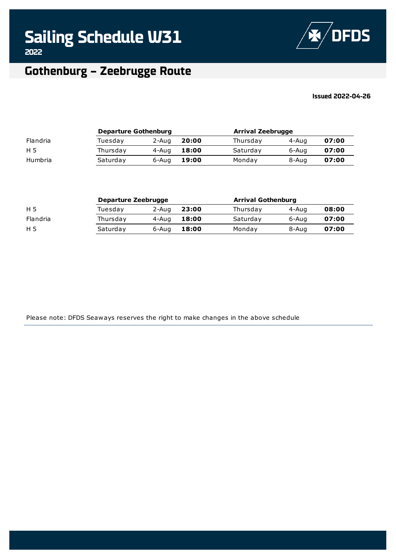

#### **Issued 2022-04-26**

|          | <b>Departure Gothenburg</b> |       |       | <b>Arrival Zeebrugge</b> |       |       |
|----------|-----------------------------|-------|-------|--------------------------|-------|-------|
| Flandria | Tuesdav                     | 2-Aug | 20:00 | Thursday                 | 4-Aug | 07:00 |
| H 5      | Thursday                    | 4-Aug | 18:00 | Saturday                 | 6-Aug | 07:00 |
| Humbria  | Saturday                    | 6-Aug | 19:00 | Monday                   | 8-Aug | 07:00 |

| Departure Zeebrugge |       |       |          | <b>Arrival Gothenburg</b> |       |  |
|---------------------|-------|-------|----------|---------------------------|-------|--|
| Tuesday             | 2-Aug | 23:00 | Thursday | 4-Aug                     | 08:00 |  |
| Thursday            | 4-Aua | 18:00 | Saturday | 6-Aug                     | 07:00 |  |
| Saturday            | 6-Aug | 18:00 | Mondav   | 8-Aug                     | 07:00 |  |
|                     |       |       |          |                           |       |  |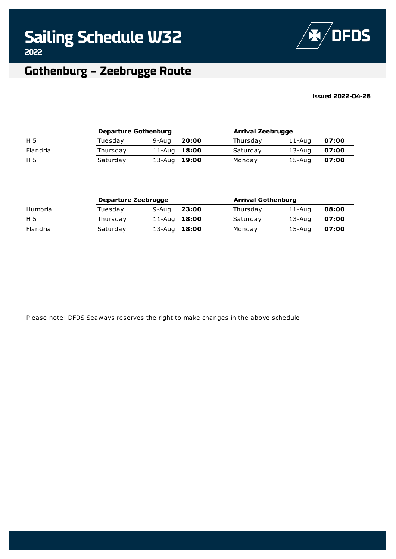

#### **Issued 2022-04-26**

|          | <b>Departure Gothenburg</b> |              |       | <b>Arrival Zeebrugge</b> |            |       |
|----------|-----------------------------|--------------|-------|--------------------------|------------|-------|
| H 5      | Tuesdav                     | 9-Aug        | 20:00 | Thursday                 | $11 - Aug$ | 07:00 |
| Flandria | Thursday                    | 11-Aug 18:00 |       | Saturday                 | $13 - Aug$ | 07:00 |
| H 5      | Saturday                    | 13-Aug 19:00 |       | Monday                   | 15-Aug     | 07:00 |

|          | Departure Zeebrugge |                |       | <b>Arrival Gothenburg</b> |            |       |
|----------|---------------------|----------------|-------|---------------------------|------------|-------|
| Humbria  | Tuesdav             | 9-Aug          | 23:00 | Thursday                  | 11-Aug     | 08:00 |
| H 5      | Thursday            | 11-Aug $18:00$ |       | Saturday                  | $13 - Aug$ | 07:00 |
| Flandria | Saturday            | 13-Aug 18:00   |       | Mondav                    | $15 - Aug$ | 07:00 |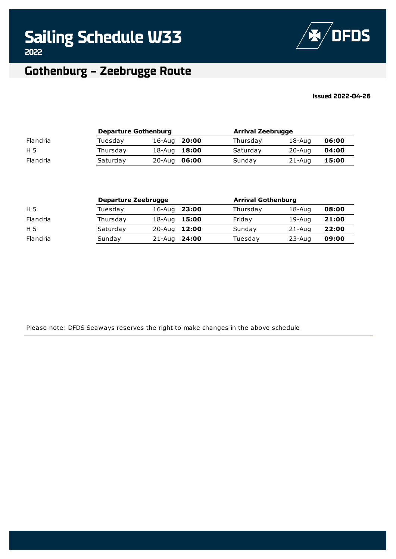

#### **Issued 2022-04-26**

|          | <b>Departure Gothenburg</b> |              |  | <b>Arrival Zeebrugge</b> |            |       |
|----------|-----------------------------|--------------|--|--------------------------|------------|-------|
| Flandria | Tuesdav                     | 16-Aug 20:00 |  | Thursday                 | $18 - Aug$ | 06:00 |
| H 5      | Thursday                    | 18-Aug 18:00 |  | Saturday                 | $20 - Aug$ | 04:00 |
| Flandria | Saturday                    | 20-Aug 06:00 |  | Sunday                   | $21 - Aug$ | 15:00 |

|          | Departure Zeebrugge |              |       | <b>Arrival Gothenburg</b> |            |       |
|----------|---------------------|--------------|-------|---------------------------|------------|-------|
| H 5      | Tuesdav             | 16-Aug       | 23:00 | Thursday                  | 18-Aug     | 08:00 |
| Flandria | Thursday            | 18-Aug       | 15:00 | Friday                    | 19-Aug     | 21:00 |
| H 5      | Saturday            | 20-Aug 12:00 |       | Sunday                    | $21 - Aug$ | 22:00 |
| Flandria | Sunday              | 21-Aug 24:00 |       | Tuesday                   | $23 - Aug$ | 09:00 |